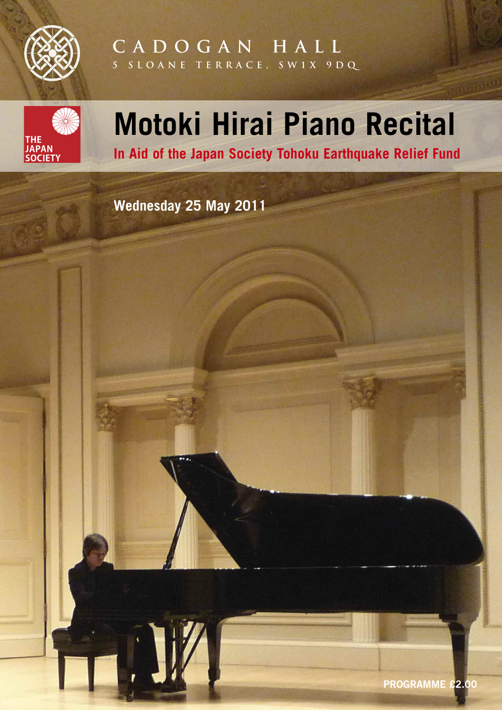

# **C A D O G A N H A L L 5 S L O A N E T E R R A C E , S W 1 X 9 D Q**



# **Motoki Hirai Piano Recital**

**In Aid of the Japan Society Tohoku Earthquake Relief Fund**

**Wednesday 25 May 2011**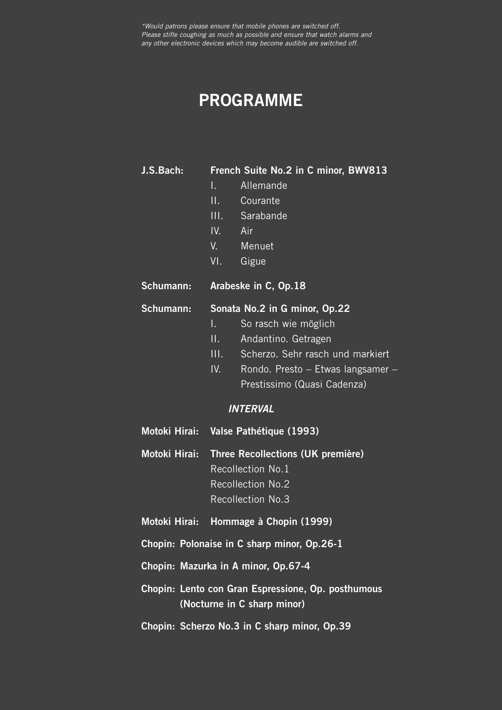# **PROGRAMME**

**J.S.Bach: French Suite No.2 in C minor, BWV813**

- I. Allemande
- II. Courante
- III. Sarabande
- IV. Air
- V. Menuet
- VI. Gigue
- **Schumann: Arabeske in C, Op.18**

### **Schumann: Sonata No.2 in G minor, Op.22**

- I. So rasch wie möglich
- II. Andantino. Getragen
- III. Scherzo. Sehr rasch und markiert
- IV. Rondo. Presto Etwas langsamer Prestissimo (Quasi Cadenza)

### *INTERVAL*

- **Motoki Hirai: Valse Pathétique (1993)**
- **Motoki Hirai: Three Recollections (UK première)** Recollection No.1 Recollection No.2 Recollection No.3
- **Motoki Hirai: Hommage à Chopin (1999)**
- **Chopin: Polonaise in C sharp minor, Op.26-1**
- **Chopin: Mazurka in A minor, Op.67-4**
- **Chopin: Lento con Gran Espressione, Op. posthumous (Nocturne in C sharp minor)**
- **Chopin: Scherzo No.3 in C sharp minor, Op.39**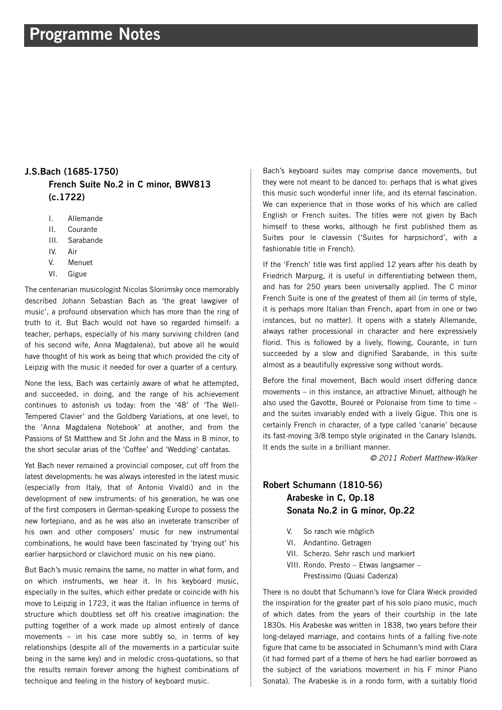# **Programme Notes**

# **J.S.Bach (1685-1750) French Suite No.2 in C minor, BWV813 (c.1722)**

- I. Allemande
- II. Courante
- III. Sarabande
- IV. Air
- V. Menuet
- VI. Gigue

The centenarian musicologist Nicolas Slonimsky once memorably described Johann Sebastian Bach as 'the great lawgiver of music', a profound observation which has more than the ring of truth to it. But Bach would not have so regarded himself: a teacher, perhaps, especially of his many surviving children (and of his second wife, Anna Magdalena), but above all he would have thought of his work as being that which provided the city of Leipzig with the music it needed for over a quarter of a century.

None the less, Bach was certainly aware of what he attempted, and succeeded, in doing, and the range of his achievement continues to astonish us today: from the '48' of 'The Well-Tempered Clavier' and the Goldberg Variations, at one level, to the 'Anna Magdalena Notebook' at another, and from the Passions of St Matthew and St John and the Mass in B minor, to the short secular arias of the 'Coffee' and 'Wedding' cantatas.

Yet Bach never remained a provincial composer, cut off from the latest developments: he was always interested in the latest music (especially from Italy, that of Antonio Vivaldi) and in the development of new instruments: of his generation, he was one of the first composers in German-speaking Europe to possess the new fortepiano, and as he was also an inveterate transcriber of his own and other composers' music for new instrumental combinations, he would have been fascinated by 'trying out' his earlier harpsichord or clavichord music on his new piano.

But Bach's music remains the same, no matter in what form, and on which instruments, we hear it. In his keyboard music, especially in the suites, which either predate or coincide with his move to Leipzig in 1723, it was the Italian influence in terms of structure which doubtless set off his creative imagination: the putting together of a work made up almost entirely of dance movements – in his case more subtly so, in terms of key relationships (despite all of the movements in a particular suite being in the same key) and in melodic cross-quotations, so that the results remain forever among the highest combinations of technique and feeling in the history of keyboard music.

Bach's keyboard suites may comprise dance movements, but they were not meant to be danced to: perhaps that is what gives this music such wonderful inner life, and its eternal fascination. We can experience that in those works of his which are called English or French suites. The titles were not given by Bach himself to these works, although he first published them as Suites pour le clavessin ('Suites for harpsichord', with a fashionable title in French).

If the 'French' title was first applied 12 years after his death by Friedrich Marpurg, it is useful in differentiating between them, and has for 250 years been universally applied. The C minor French Suite is one of the greatest of them all (in terms of style, it is perhaps more Italian than French, apart from in one or two instances, but no matter). It opens with a stately Allemande, always rather processional in character and here expressively florid. This is followed by a lively, flowing, Courante, in turn succeeded by a slow and dignified Sarabande, in this suite almost as a beautifully expressive song without words.

Before the final movement, Bach would insert differing dance movements – in this instance, an attractive Minuet, although he also used the Gavotte, Boureé or Polonaise from time to time – and the suites invariably ended with a lively Gigue. This one is certainly French in character, of a type called 'canarie' because its fast-moving 3/8 tempo style originated in the Canary Islands. It ends the suite in a brilliant manner.

*© 2011 Robert Matthew-Walker*

## **Robert Schumann (1810-56) Arabeske in C, Op.18 Sonata No.2 in G minor, Op.22**

- V. So rasch wie möglich
- VI. Andantino. Getragen
- VII. Scherzo. Sehr rasch und markiert
- VIII. Rondo. Presto Etwas langsamer Prestissimo (Quasi Cadenza)

There is no doubt that Schumann's love for Clara Wieck provided the inspiration for the greater part of his solo piano music, much of which dates from the years of their courtship in the late 1830s. His Arabeske was written in 1838, two years before their long-delayed marriage, and contains hints of a falling five-note figure that came to be associated in Schumann's mind with Clara (it had formed part of a theme of hers he had earlier borrowed as the subject of the variations movement in his F minor Piano Sonata). The Arabeske is in a rondo form, with a suitably florid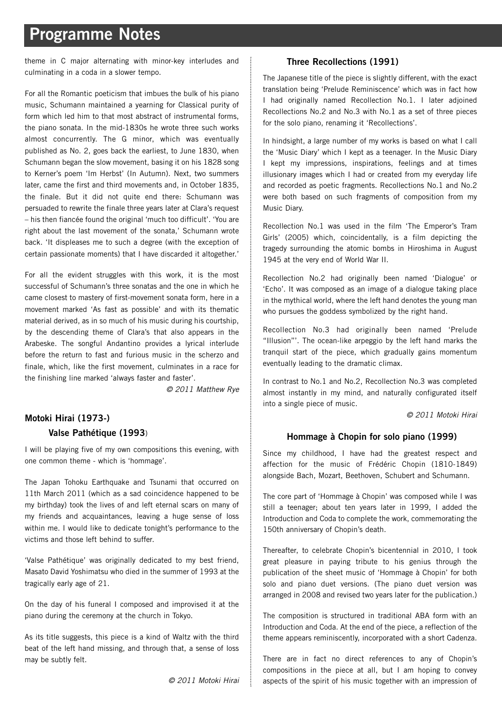# **Programme Notes**

theme in C major alternating with minor-key interludes and culminating in a coda in a slower tempo.

For all the Romantic poeticism that imbues the bulk of his piano music, Schumann maintained a yearning for Classical purity of form which led him to that most abstract of instrumental forms, the piano sonata. In the mid-1830s he wrote three such works almost concurrently. The G minor, which was eventually published as No. 2, goes back the earliest, to June 1830, when Schumann began the slow movement, basing it on his 1828 song to Kerner's poem 'Im Herbst' (In Autumn). Next, two summers later, came the first and third movements and, in October 1835, the finale. But it did not quite end there: Schumann was persuaded to rewrite the finale three years later at Clara's request – his then fiancée found the original 'much too difficult'. 'You are right about the last movement of the sonata,' Schumann wrote back. 'It displeases me to such a degree (with the exception of certain passionate moments) that I have discarded it altogether.'

For all the evident struggles with this work, it is the most successful of Schumann's three sonatas and the one in which he came closest to mastery of first-movement sonata form, here in a movement marked 'As fast as possible' and with its thematic material derived, as in so much of his music during his courtship, by the descending theme of Clara's that also appears in the Arabeske. The songful Andantino provides a lyrical interlude before the return to fast and furious music in the scherzo and finale, which, like the first movement, culminates in a race for the finishing line marked 'always faster and faster'.

*© 2011 Matthew Rye*

# **Motoki Hirai (1973-) Valse Pathétique (1993**)

I will be playing five of my own compositions this evening, with one common theme - which is 'hommage'.

The Japan Tohoku Earthquake and Tsunami that occurred on 11th March 2011 (which as a sad coincidence happened to be my birthday) took the lives of and left eternal scars on many of my friends and acquaintances, leaving a huge sense of loss within me. I would like to dedicate tonight's performance to the victims and those left behind to suffer.

'Valse Pathétique' was originally dedicated to my best friend, Masato David Yoshimatsu who died in the summer of 1993 at the tragically early age of 21.

On the day of his funeral I composed and improvised it at the piano during the ceremony at the church in Tokyo.

As its title suggests, this piece is a kind of Waltz with the third beat of the left hand missing, and through that, a sense of loss may be subtly felt.

*© 2011 Motoki Hirai*

### **Three Recollections (1991)**

The Japanese title of the piece is slightly different, with the exact translation being 'Prelude Reminiscence' which was in fact how I had originally named Recollection No.1. I later adjoined Recollections No.2 and No.3 with No.1 as a set of three pieces for the solo piano, renaming it 'Recollections'.

In hindsight, a large number of my works is based on what I call the 'Music Diary' which I kept as a teenager. In the Music Diary I kept my impressions, inspirations, feelings and at times illusionary images which I had or created from my everyday life and recorded as poetic fragments. Recollections No.1 and No.2 were both based on such fragments of composition from my Music Diary.

Recollection No.1 was used in the film 'The Emperor's Tram Girls' (2005) which, coincidentally, is a film depicting the tragedy surrounding the atomic bombs in Hiroshima in August 1945 at the very end of World War II.

Recollection No.2 had originally been named 'Dialogue' or 'Echo'. It was composed as an image of a dialogue taking place in the mythical world, where the left hand denotes the young man who pursues the goddess symbolized by the right hand.

Recollection No.3 had originally been named 'Prelude "Illusion"'. The ocean-like arpeggio by the left hand marks the tranquil start of the piece, which gradually gains momentum eventually leading to the dramatic climax.

In contrast to No.1 and No.2, Recollection No.3 was completed almost instantly in my mind, and naturally configurated itself into a single piece of music.

*© 2011 Motoki Hirai*

### **Hommage à Chopin for solo piano (1999)**

Since my childhood, I have had the greatest respect and affection for the music of Frédéric Chopin (1810-1849) alongside Bach, Mozart, Beethoven, Schubert and Schumann.

The core part of 'Hommage à Chopin' was composed while I was still a teenager; about ten years later in 1999, I added the Introduction and Coda to complete the work, commemorating the 150th anniversary of Chopin's death.

Thereafter, to celebrate Chopin's bicentennial in 2010, I took great pleasure in paying tribute to his genius through the publication of the sheet music of 'Hommage à Chopin' for both solo and piano duet versions. (The piano duet version was arranged in 2008 and revised two years later for the publication.)

The composition is structured in traditional ABA form with an Introduction and Coda. At the end of the piece, a reflection of the theme appears reminiscently, incorporated with a short Cadenza.

There are in fact no direct references to any of Chopin's compositions in the piece at all, but I am hoping to convey aspects of the spirit of his music together with an impression of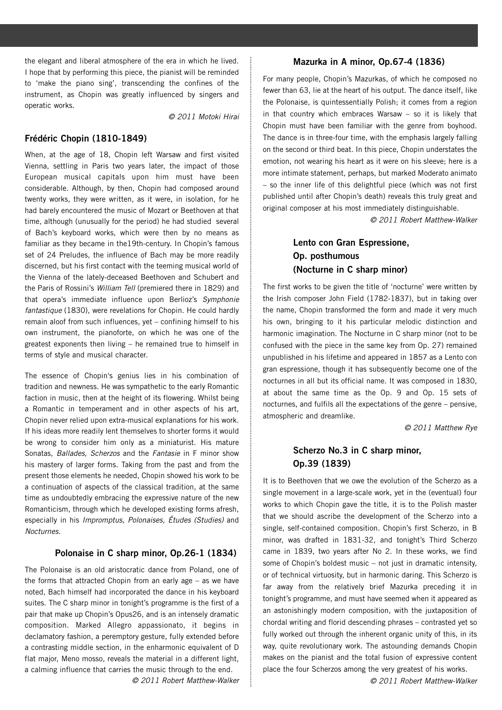the elegant and liberal atmosphere of the era in which he lived. I hope that by performing this piece, the pianist will be reminded to 'make the piano sing', transcending the confines of the instrument, as Chopin was greatly influenced by singers and operatic works.

*© 2011 Motoki Hirai*

#### **Frédéric Chopin (1810-1849)**

When, at the age of 18, Chopin left Warsaw and first visited Vienna, settling in Paris two years later, the impact of those European musical capitals upon him must have been considerable. Although, by then, Chopin had composed around twenty works, they were written, as it were, in isolation, for he had barely encountered the music of Mozart or Beethoven at that time, although (unusually for the period) he had studied several of Bach's keyboard works, which were then by no means as familiar as they became in the19th-century. In Chopin's famous set of 24 Preludes, the influence of Bach may be more readily discerned, but his first contact with the teeming musical world of the Vienna of the lately-deceased Beethoven and Schubert and the Paris of Rossini's *William Tell* (premiered there in 1829) and that opera's immediate influence upon Berlioz's *Symphonie fantastique* (1830), were revelations for Chopin. He could hardly remain aloof from such influences, yet – confining himself to his own instrument, the pianoforte, on which he was one of the greatest exponents then living – he remained true to himself in terms of style and musical character.

The essence of Chopin's genius lies in his combination of tradition and newness. He was sympathetic to the early Romantic faction in music, then at the height of its flowering. Whilst being a Romantic in temperament and in other aspects of his art, Chopin never relied upon extra-musical explanations for his work. If his ideas more readily lent themselves to shorter forms it would be wrong to consider him only as a miniaturist. His mature Sonatas, *Ballades, Scherzos* and the *Fantasie* in F minor show his mastery of larger forms. Taking from the past and from the present those elements he needed, Chopin showed his work to be a continuation of aspects of the classical tradition, at the same time as undoubtedly embracing the expressive nature of the new Romanticism, through which he developed existing forms afresh, especially in his *Impromptus, Polonaises, Études (Studies)* and *Nocturnes.*

#### **Polonaise in C sharp minor, Op.26-1 (1834)**

The Polonaise is an old aristocratic dance from Poland, one of the forms that attracted Chopin from an early age – as we have noted, Bach himself had incorporated the dance in his keyboard suites. The C sharp minor in tonight's programme is the first of a pair that make up Chopin's Opus26, and is an intensely dramatic composition. Marked Allegro appassionato, it begins in declamatory fashion, a peremptory gesture, fully extended before a contrasting middle section, in the enharmonic equivalent of D flat major, Meno mosso, reveals the material in a different light, a calming influence that carries the music through to the end.

*© 2011 Robert Matthew-Walker*

### **Mazurka in A minor, Op.67-4 (1836)**

For many people, Chopin's Mazurkas, of which he composed no fewer than 63, lie at the heart of his output. The dance itself, like the Polonaise, is quintessentially Polish; it comes from a region in that country which embraces Warsaw – so it is likely that Chopin must have been familiar with the genre from boyhood. The dance is in three-four time, with the emphasis largely falling on the second or third beat. In this piece, Chopin understates the emotion, not wearing his heart as it were on his sleeve; here is a more intimate statement, perhaps, but marked Moderato animato – so the inner life of this delightful piece (which was not first published until after Chopin's death) reveals this truly great and original composer at his most immediately distinguishable.

*© 2011 Robert Matthew-Walker*

### **Lento con Gran Espressione, Op. posthumous (Nocturne in C sharp minor)**

The first works to be given the title of 'nocturne' were written by the Irish composer John Field (1782-1837), but in taking over the name, Chopin transformed the form and made it very much his own, bringing to it his particular melodic distinction and harmonic imagination. The Nocturne in C sharp minor (not to be confused with the piece in the same key from Op. 27) remained unpublished in his lifetime and appeared in 1857 as a Lento con gran espressione, though it has subsequently become one of the nocturnes in all but its official name. It was composed in 1830, at about the same time as the Op. 9 and Op. 15 sets of nocturnes, and fulfils all the expectations of the genre – pensive, atmospheric and dreamlike.

*© 2011 Matthew Rye*

### **Scherzo No.3 in C sharp minor, Op.39 (1839)**

It is to Beethoven that we owe the evolution of the Scherzo as a single movement in a large-scale work, yet in the (eventual) four works to which Chopin gave the title, it is to the Polish master that we should ascribe the development of the Scherzo into a single, self-contained composition. Chopin's first Scherzo, in B minor, was drafted in 1831-32, and tonight's Third Scherzo came in 1839, two years after No 2. In these works, we find some of Chopin's boldest music – not just in dramatic intensity, or of technical virtuosity, but in harmonic daring. This Scherzo is far away from the relatively brief Mazurka preceding it in tonight's programme, and must have seemed when it appeared as an astonishingly modern composition, with the juxtaposition of chordal writing and florid descending phrases – contrasted yet so fully worked out through the inherent organic unity of this, in its way, quite revolutionary work. The astounding demands Chopin makes on the pianist and the total fusion of expressive content place the four Scherzos among the very greatest of his works.

*© 2011 Robert Matthew-Walker*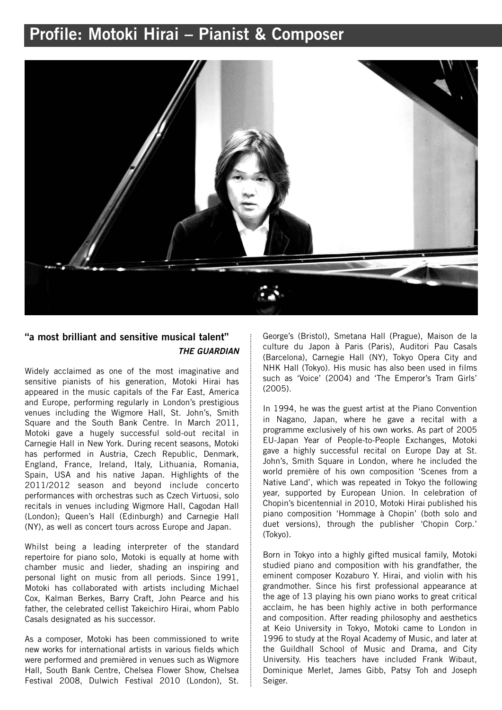# **Profile: Motoki Hirai – Pianist & Composer**



# **"a most brilliant and sensitive musical talent"** *THE GUARDIAN*

Widely acclaimed as one of the most imaginative and sensitive pianists of his generation, Motoki Hirai has appeared in the music capitals of the Far East, America and Europe, performing regularly in London's prestigious venues including the Wigmore Hall, St. John's, Smith Square and the South Bank Centre. In March 2011, Motoki gave a hugely successful sold-out recital in Carnegie Hall in New York. During recent seasons, Motoki has performed in Austria, Czech Republic, Denmark, England, France, Ireland, Italy, Lithuania, Romania, Spain, USA and his native Japan. Highlights of the 2011/2012 season and beyond include concerto performances with orchestras such as Czech Virtuosi, solo recitals in venues including Wigmore Hall, Cagodan Hall (London); Queen's Hall (Edinburgh) and Carnegie Hall (NY), as well as concert tours across Europe and Japan.

Whilst being a leading interpreter of the standard repertoire for piano solo, Motoki is equally at home with chamber music and lieder, shading an inspiring and personal light on music from all periods. Since 1991, Motoki has collaborated with artists including Michael Cox, Kalman Berkes, Barry Craft, John Pearce and his father, the celebrated cellist Takeichiro Hirai, whom Pablo Casals designated as his successor.

As a composer, Motoki has been commissioned to write new works for international artists in various fields which were performed and premièred in venues such as Wigmore Hall, South Bank Centre, Chelsea Flower Show, Chelsea Festival 2008, Dulwich Festival 2010 (London), St. George's (Bristol), Smetana Hall (Prague), Maison de la culture du Japon à Paris (Paris), Auditori Pau Casals (Barcelona), Carnegie Hall (NY), Tokyo Opera City and NHK Hall (Tokyo). His music has also been used in films such as 'Voice' (2004) and 'The Emperor's Tram Girls' (2005).

In 1994, he was the guest artist at the Piano Convention in Nagano, Japan, where he gave a recital with a programme exclusively of his own works. As part of 2005 EU-Japan Year of People-to-People Exchanges, Motoki gave a highly successful recital on Europe Day at St. John's, Smith Square in London, where he included the world première of his own composition 'Scenes from a Native Land', which was repeated in Tokyo the following year, supported by European Union. In celebration of Chopin's bicentennial in 2010, Motoki Hirai published his piano composition 'Hommage à Chopin' (both solo and duet versions), through the publisher 'Chopin Corp.' (Tokyo).

Born in Tokyo into a highly gifted musical family, Motoki studied piano and composition with his grandfather, the eminent composer Kozaburo Y. Hirai, and violin with his grandmother. Since his first professional appearance at the age of 13 playing his own piano works to great critical acclaim, he has been highly active in both performance and composition. After reading philosophy and aesthetics at Keio University in Tokyo, Motoki came to London in 1996 to study at the Royal Academy of Music, and later at the Guildhall School of Music and Drama, and City University. His teachers have included Frank Wibaut, Dominique Merlet, James Gibb, Patsy Toh and Joseph Seiger.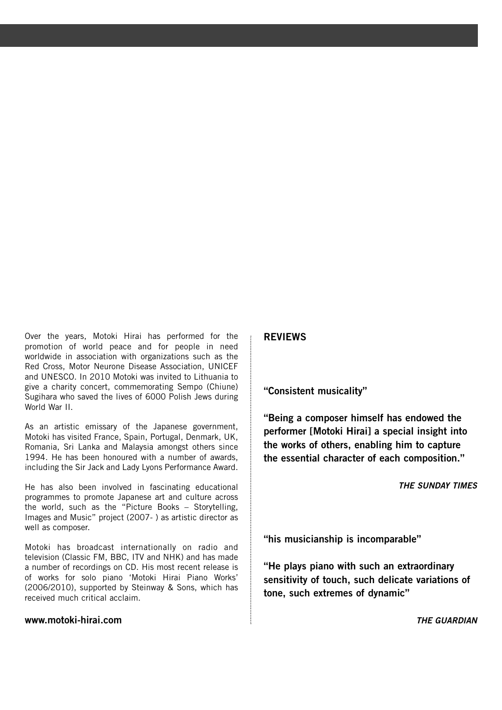Over the years, Motoki Hirai has performed for the promotion of world peace and for people in need worldwide in association with organizations such as the Red Cross, Motor Neurone Disease Association, UNICEF and UNESCO. In 2010 Motoki was invited to Lithuania to give a charity concert, commemorating Sempo (Chiune) Sugihara who saved the lives of 6000 Polish Jews during World War II.

As an artistic emissary of the Japanese government, Motoki has visited France, Spain, Portugal, Denmark, UK, Romania, Sri Lanka and Malaysia amongst others since 1994. He has been honoured with a number of awards, including the Sir Jack and Lady Lyons Performance Award.

He has also been involved in fascinating educational programmes to promote Japanese art and culture across the world, such as the "Picture Books – Storytelling, Images and Music" project (2007- ) as artistic director as well as composer.

Motoki has broadcast internationally on radio and television (Classic FM, BBC, ITV and NHK) and has made a number of recordings on CD. His most recent release is of works for solo piano 'Motoki Hirai Piano Works' (2006/2010), supported by Steinway & Sons, which has received much critical acclaim.

### **www.motoki-hirai.com**

### **REVIEWS**

**"Consistent musicality"**

**"Being a composer himself has endowed the performer [Motoki Hirai] a special insight into the works of others, enabling him to capture the essential character of each composition."**

*THE SUNDAY TIMES*

**"his musicianship is incomparable"**

**"He plays piano with such an extraordinary sensitivity of touch, such delicate variations of tone, such extremes of dynamic"**

*THE GUARDIAN*